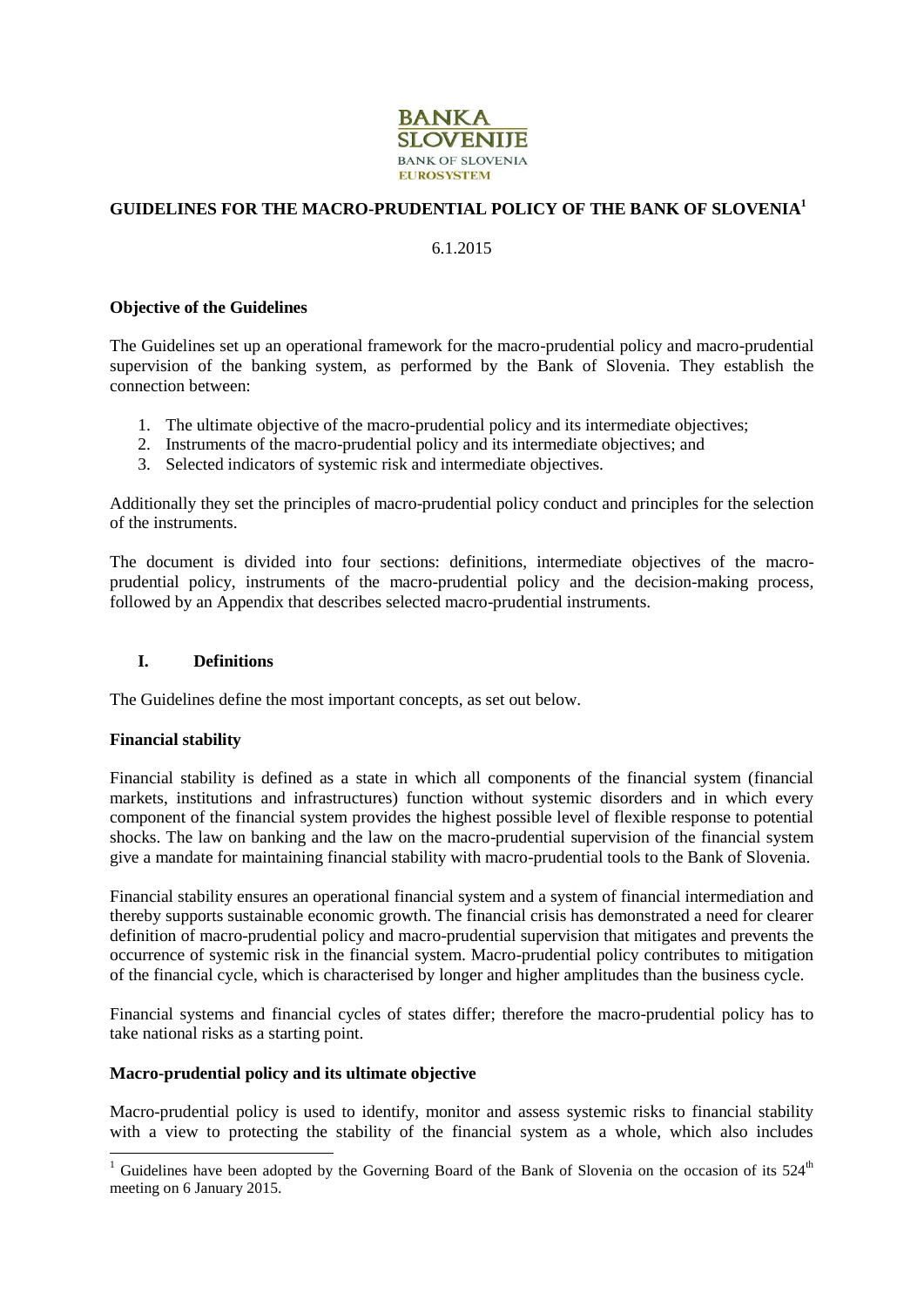

# **GUIDELINES FOR THE MACRO-PRUDENTIAL POLICY OF THE BANK OF SLOVENIA<sup>1</sup>**

## 6.1.2015

#### **Objective of the Guidelines**

The Guidelines set up an operational framework for the macro-prudential policy and macro-prudential supervision of the banking system, as performed by the Bank of Slovenia. They establish the connection between:

- 1. The ultimate objective of the macro-prudential policy and its intermediate objectives;
- 2. Instruments of the macro-prudential policy and its intermediate objectives; and
- 3. Selected indicators of systemic risk and intermediate objectives.

Additionally they set the principles of macro-prudential policy conduct and principles for the selection of the instruments.

The document is divided into four sections: definitions, intermediate objectives of the macroprudential policy, instruments of the macro-prudential policy and the decision-making process, followed by an Appendix that describes selected macro-prudential instruments.

# **I. Definitions**

The Guidelines define the most important concepts, as set out below.

### **Financial stability**

-

Financial stability is defined as a state in which all components of the financial system (financial markets, institutions and infrastructures) function without systemic disorders and in which every component of the financial system provides the highest possible level of flexible response to potential shocks. The law on banking and the law on the macro-prudential supervision of the financial system give a mandate for maintaining financial stability with macro-prudential tools to the Bank of Slovenia.

Financial stability ensures an operational financial system and a system of financial intermediation and thereby supports sustainable economic growth. The financial crisis has demonstrated a need for clearer definition of macro-prudential policy and macro-prudential supervision that mitigates and prevents the occurrence of systemic risk in the financial system. Macro-prudential policy contributes to mitigation of the financial cycle, which is characterised by longer and higher amplitudes than the business cycle.

Financial systems and financial cycles of states differ; therefore the macro-prudential policy has to take national risks as a starting point.

### **Macro-prudential policy and its ultimate objective**

Macro-prudential policy is used to identify, monitor and assess systemic risks to financial stability with a view to protecting the stability of the financial system as a whole, which also includes

<sup>&</sup>lt;sup>1</sup> Guidelines have been adopted by the Governing Board of the Bank of Slovenia on the occasion of its  $524<sup>th</sup>$ meeting on 6 January 2015.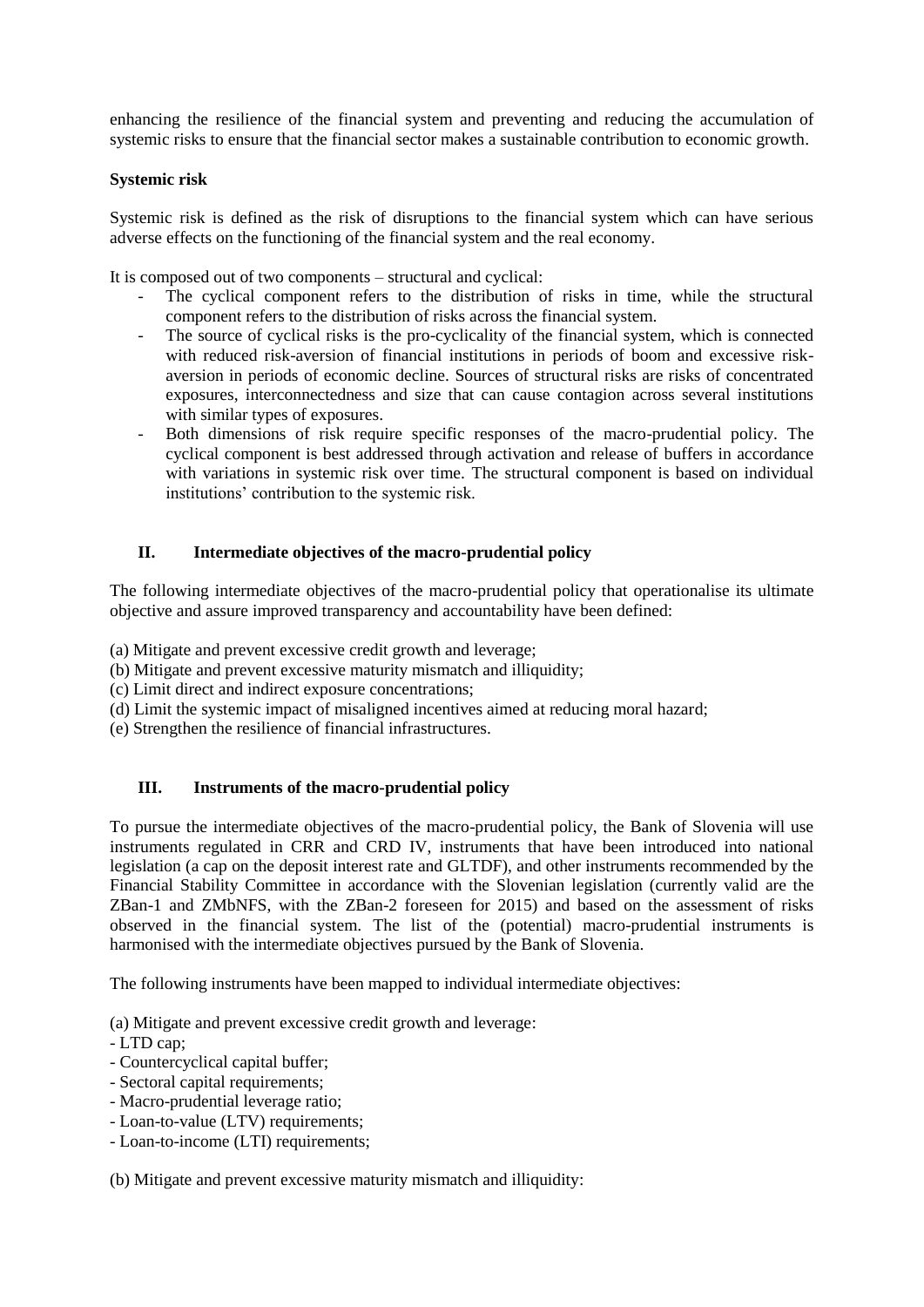enhancing the resilience of the financial system and preventing and reducing the accumulation of systemic risks to ensure that the financial sector makes a sustainable contribution to economic growth.

# **Systemic risk**

Systemic risk is defined as the risk of disruptions to the financial system which can have serious adverse effects on the functioning of the financial system and the real economy.

It is composed out of two components – structural and cyclical:

- The cyclical component refers to the distribution of risks in time, while the structural component refers to the distribution of risks across the financial system.
- The source of cyclical risks is the pro-cyclicality of the financial system, which is connected with reduced risk-aversion of financial institutions in periods of boom and excessive riskaversion in periods of economic decline. Sources of structural risks are risks of concentrated exposures, interconnectedness and size that can cause contagion across several institutions with similar types of exposures.
- Both dimensions of risk require specific responses of the macro-prudential policy. The cyclical component is best addressed through activation and release of buffers in accordance with variations in systemic risk over time. The structural component is based on individual institutions' contribution to the systemic risk.

# **II. Intermediate objectives of the macro-prudential policy**

The following intermediate objectives of the macro-prudential policy that operationalise its ultimate objective and assure improved transparency and accountability have been defined:

(a) Mitigate and prevent excessive credit growth and leverage;

(b) Mitigate and prevent excessive maturity mismatch and illiquidity;

- (c) Limit direct and indirect exposure concentrations;
- (d) Limit the systemic impact of misaligned incentives aimed at reducing moral hazard;

(e) Strengthen the resilience of financial infrastructures.

# **III. Instruments of the macro-prudential policy**

To pursue the intermediate objectives of the macro-prudential policy, the Bank of Slovenia will use instruments regulated in CRR and CRD IV, instruments that have been introduced into national legislation (a cap on the deposit interest rate and GLTDF), and other instruments recommended by the Financial Stability Committee in accordance with the Slovenian legislation (currently valid are the ZBan-1 and ZMbNFS, with the ZBan-2 foreseen for 2015) and based on the assessment of risks observed in the financial system. The list of the (potential) macro-prudential instruments is harmonised with the intermediate objectives pursued by the Bank of Slovenia.

The following instruments have been mapped to individual intermediate objectives:

(a) Mitigate and prevent excessive credit growth and leverage:

### - LTD cap;

- Countercyclical capital buffer;
- Sectoral capital requirements;
- Macro-prudential leverage ratio;
- Loan-to-value (LTV) requirements;
- Loan-to-income (LTI) requirements;

(b) Mitigate and prevent excessive maturity mismatch and illiquidity: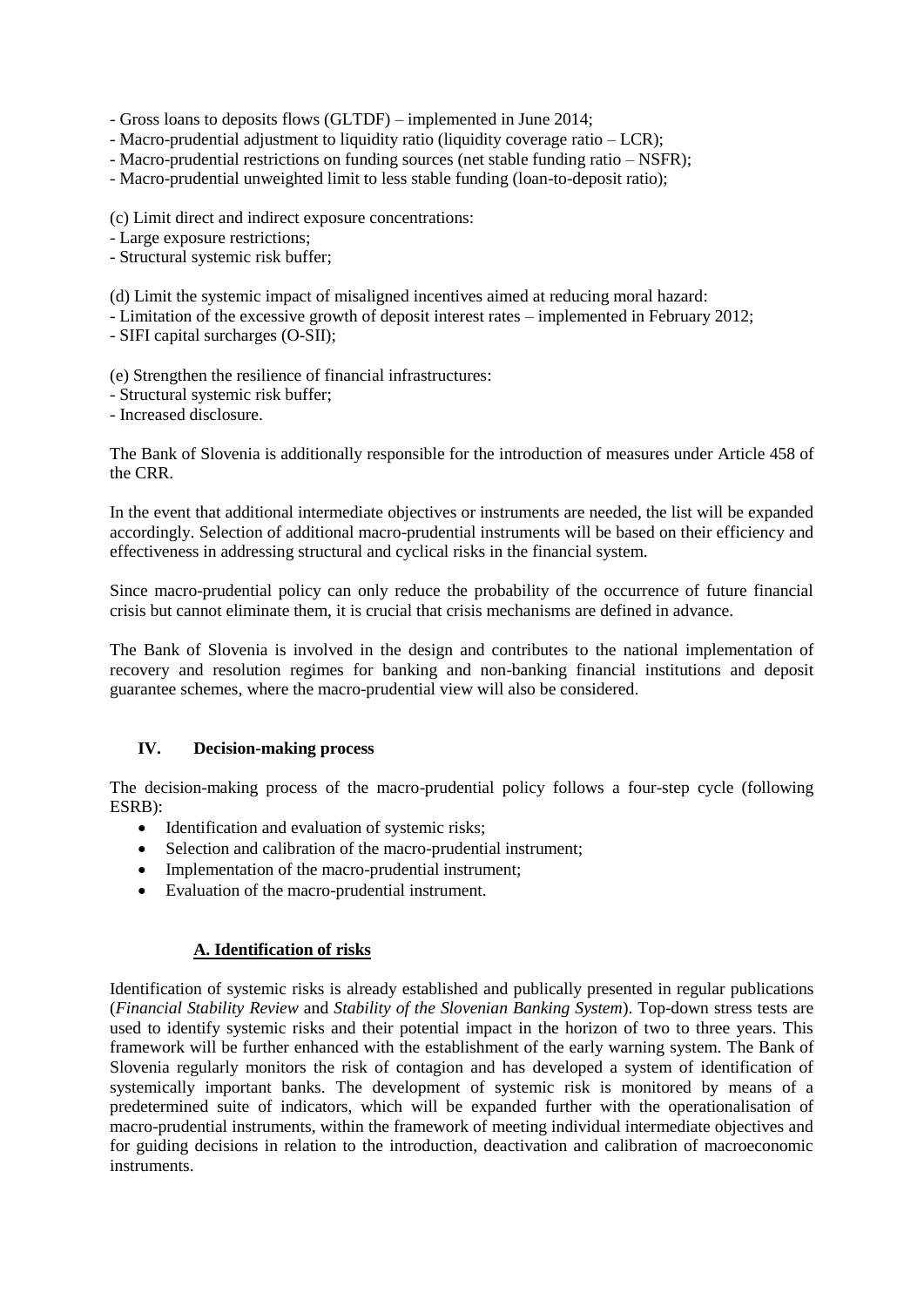- Gross loans to deposits flows (GLTDF) – implemented in June 2014;

- Macro-prudential adjustment to liquidity ratio (liquidity coverage ratio – LCR);

- Macro-prudential restrictions on funding sources (net stable funding ratio – NSFR);

- Macro-prudential unweighted limit to less stable funding (loan-to-deposit ratio);

(c) Limit direct and indirect exposure concentrations:

- Large exposure restrictions;

- Structural systemic risk buffer;

(d) Limit the systemic impact of misaligned incentives aimed at reducing moral hazard:

- Limitation of the excessive growth of deposit interest rates – implemented in February 2012;

- SIFI capital surcharges (O-SII);

(e) Strengthen the resilience of financial infrastructures:

- Structural systemic risk buffer;

- Increased disclosure.

The Bank of Slovenia is additionally responsible for the introduction of measures under Article 458 of the CRR.

In the event that additional intermediate objectives or instruments are needed, the list will be expanded accordingly. Selection of additional macro-prudential instruments will be based on their efficiency and effectiveness in addressing structural and cyclical risks in the financial system.

Since macro-prudential policy can only reduce the probability of the occurrence of future financial crisis but cannot eliminate them, it is crucial that crisis mechanisms are defined in advance.

The Bank of Slovenia is involved in the design and contributes to the national implementation of recovery and resolution regimes for banking and non-banking financial institutions and deposit guarantee schemes, where the macro-prudential view will also be considered.

### **IV. Decision-making process**

The decision-making process of the macro-prudential policy follows a four-step cycle (following ESRB):

- Identification and evaluation of systemic risks;
- Selection and calibration of the macro-prudential instrument;
- Implementation of the macro-prudential instrument;
- Evaluation of the macro-prudential instrument.

# **A. Identification of risks**

Identification of systemic risks is already established and publically presented in regular publications (*Financial Stability Review* and *Stability of the Slovenian Banking System*). Top-down stress tests are used to identify systemic risks and their potential impact in the horizon of two to three years. This framework will be further enhanced with the establishment of the early warning system. The Bank of Slovenia regularly monitors the risk of contagion and has developed a system of identification of systemically important banks. The development of systemic risk is monitored by means of a predetermined suite of indicators, which will be expanded further with the operationalisation of macro-prudential instruments, within the framework of meeting individual intermediate objectives and for guiding decisions in relation to the introduction, deactivation and calibration of macroeconomic instruments.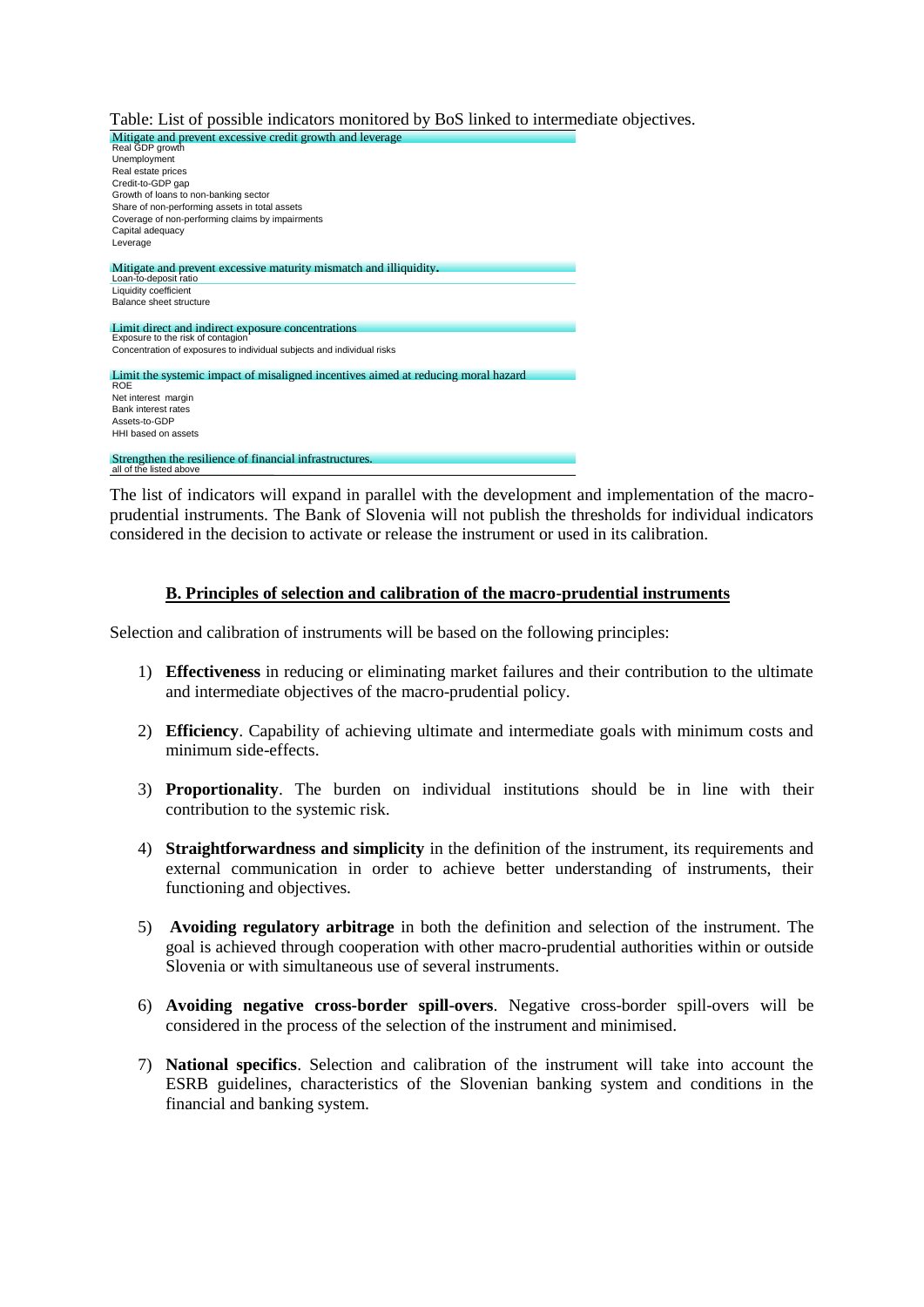Table: List of possible indicators monitored by BoS linked to intermediate objectives.



The list of indicators will expand in parallel with the development and implementation of the macroprudential instruments. The Bank of Slovenia will not publish the thresholds for individual indicators considered in the decision to activate or release the instrument or used in its calibration.

### **B. Principles of selection and calibration of the macro-prudential instruments**

Selection and calibration of instruments will be based on the following principles:

- 1) **Effectiveness** in reducing or eliminating market failures and their contribution to the ultimate and intermediate objectives of the macro-prudential policy.
- 2) **Efficiency**. Capability of achieving ultimate and intermediate goals with minimum costs and minimum side-effects.
- 3) **Proportionality**. The burden on individual institutions should be in line with their contribution to the systemic risk.
- 4) **Straightforwardness and simplicity** in the definition of the instrument, its requirements and external communication in order to achieve better understanding of instruments, their functioning and objectives.
- 5) **Avoiding regulatory arbitrage** in both the definition and selection of the instrument. The goal is achieved through cooperation with other macro-prudential authorities within or outside Slovenia or with simultaneous use of several instruments.
- 6) **Avoiding negative cross-border spill-overs**. Negative cross-border spill-overs will be considered in the process of the selection of the instrument and minimised.
- 7) **National specifics**. Selection and calibration of the instrument will take into account the ESRB guidelines, characteristics of the Slovenian banking system and conditions in the financial and banking system.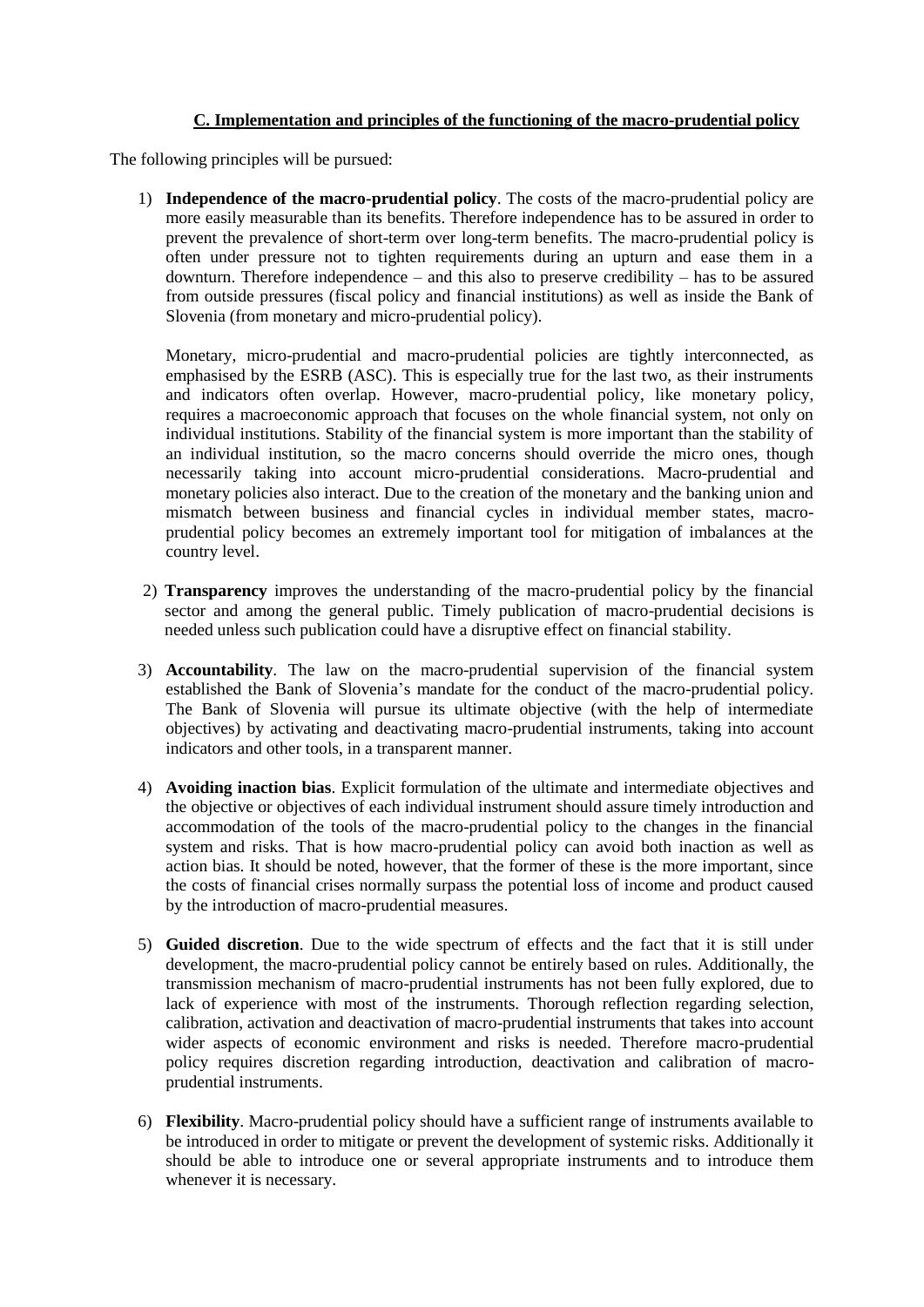# **C. Implementation and principles of the functioning of the macro-prudential policy**

The following principles will be pursued:

1) **Independence of the macro-prudential policy**. The costs of the macro-prudential policy are more easily measurable than its benefits. Therefore independence has to be assured in order to prevent the prevalence of short-term over long-term benefits. The macro-prudential policy is often under pressure not to tighten requirements during an upturn and ease them in a downturn. Therefore independence – and this also to preserve credibility – has to be assured from outside pressures (fiscal policy and financial institutions) as well as inside the Bank of Slovenia (from monetary and micro-prudential policy).

Monetary, micro-prudential and macro-prudential policies are tightly interconnected, as emphasised by the ESRB (ASC). This is especially true for the last two, as their instruments and indicators often overlap. However, macro-prudential policy, like monetary policy, requires a macroeconomic approach that focuses on the whole financial system, not only on individual institutions. Stability of the financial system is more important than the stability of an individual institution, so the macro concerns should override the micro ones, though necessarily taking into account micro-prudential considerations. Macro-prudential and monetary policies also interact. Due to the creation of the monetary and the banking union and mismatch between business and financial cycles in individual member states, macroprudential policy becomes an extremely important tool for mitigation of imbalances at the country level.

- 2) **Transparency** improves the understanding of the macro-prudential policy by the financial sector and among the general public. Timely publication of macro-prudential decisions is needed unless such publication could have a disruptive effect on financial stability.
- 3) **Accountability**. The law on the macro-prudential supervision of the financial system established the Bank of Slovenia's mandate for the conduct of the macro-prudential policy. The Bank of Slovenia will pursue its ultimate objective (with the help of intermediate objectives) by activating and deactivating macro-prudential instruments, taking into account indicators and other tools, in a transparent manner.
- 4) **Avoiding inaction bias**. Explicit formulation of the ultimate and intermediate objectives and the objective or objectives of each individual instrument should assure timely introduction and accommodation of the tools of the macro-prudential policy to the changes in the financial system and risks. That is how macro-prudential policy can avoid both inaction as well as action bias. It should be noted, however, that the former of these is the more important, since the costs of financial crises normally surpass the potential loss of income and product caused by the introduction of macro-prudential measures.
- 5) **Guided discretion**. Due to the wide spectrum of effects and the fact that it is still under development, the macro-prudential policy cannot be entirely based on rules. Additionally, the transmission mechanism of macro-prudential instruments has not been fully explored, due to lack of experience with most of the instruments. Thorough reflection regarding selection, calibration, activation and deactivation of macro-prudential instruments that takes into account wider aspects of economic environment and risks is needed. Therefore macro-prudential policy requires discretion regarding introduction, deactivation and calibration of macroprudential instruments.
- 6) **Flexibility**. Macro-prudential policy should have a sufficient range of instruments available to be introduced in order to mitigate or prevent the development of systemic risks. Additionally it should be able to introduce one or several appropriate instruments and to introduce them whenever it is necessary.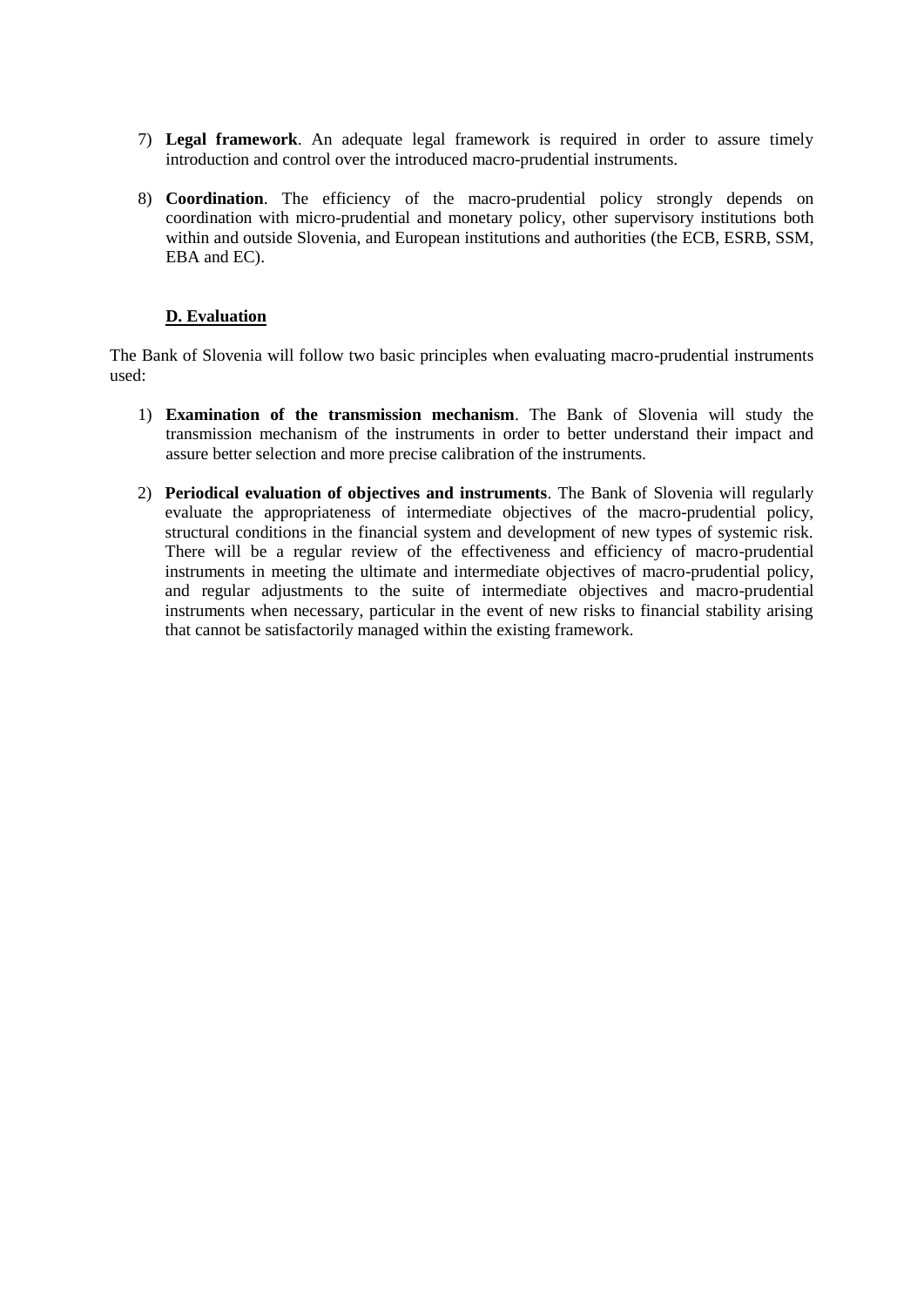- 7) **Legal framework**. An adequate legal framework is required in order to assure timely introduction and control over the introduced macro-prudential instruments.
- 8) **Coordination**. The efficiency of the macro-prudential policy strongly depends on coordination with micro-prudential and monetary policy, other supervisory institutions both within and outside Slovenia, and European institutions and authorities (the ECB, ESRB, SSM, EBA and EC).

# **D. Evaluation**

The Bank of Slovenia will follow two basic principles when evaluating macro-prudential instruments used:

- 1) **Examination of the transmission mechanism**. The Bank of Slovenia will study the transmission mechanism of the instruments in order to better understand their impact and assure better selection and more precise calibration of the instruments.
- 2) **Periodical evaluation of objectives and instruments**. The Bank of Slovenia will regularly evaluate the appropriateness of intermediate objectives of the macro-prudential policy, structural conditions in the financial system and development of new types of systemic risk. There will be a regular review of the effectiveness and efficiency of macro-prudential instruments in meeting the ultimate and intermediate objectives of macro-prudential policy, and regular adjustments to the suite of intermediate objectives and macro-prudential instruments when necessary, particular in the event of new risks to financial stability arising that cannot be satisfactorily managed within the existing framework.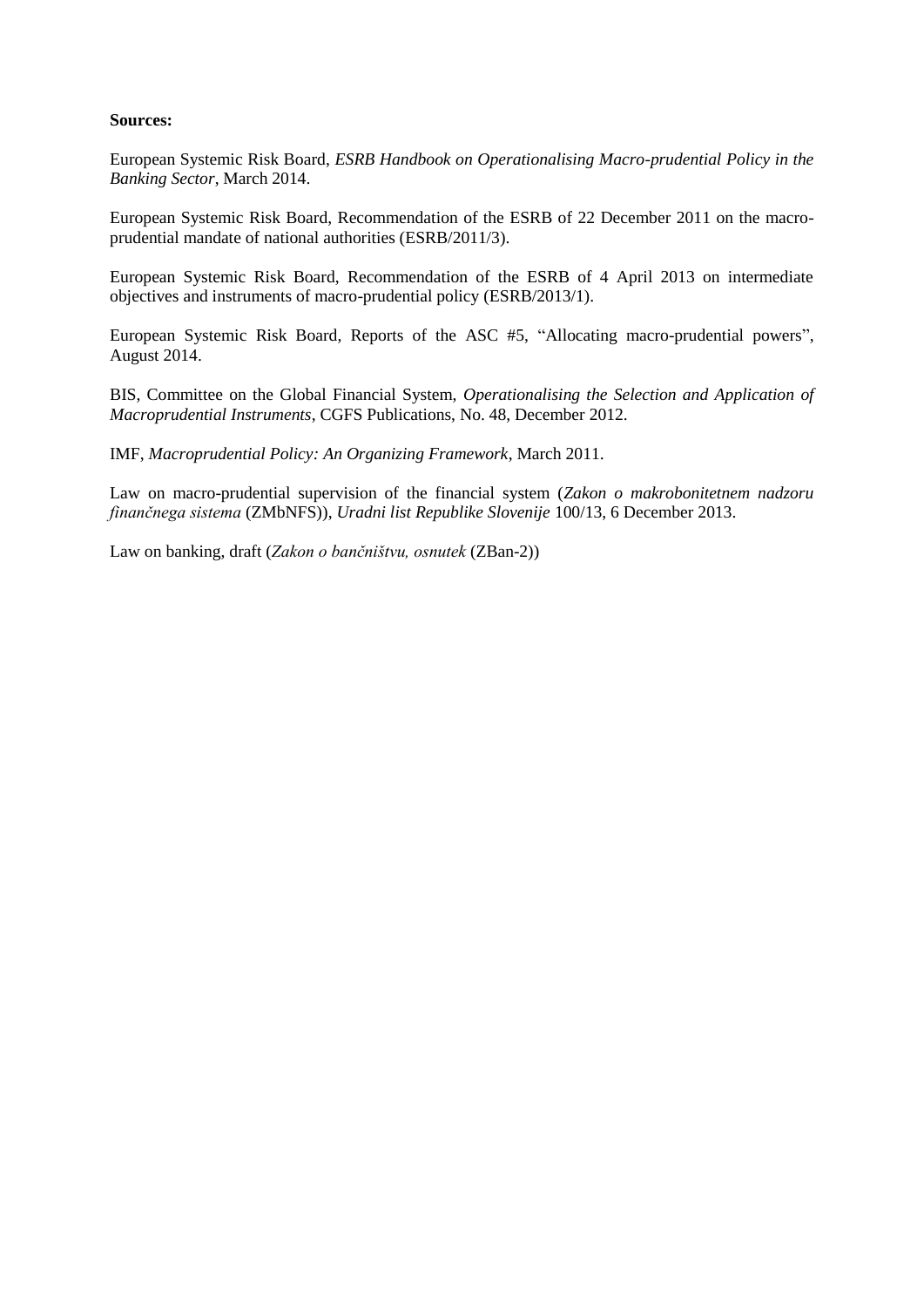#### **Sources:**

European Systemic Risk Board, *ESRB Handbook on Operationalising Macro-prudential Policy in the Banking Sector*, March 2014.

European Systemic Risk Board, Recommendation of the ESRB of 22 December 2011 on the macroprudential mandate of national authorities (ESRB/2011/3).

European Systemic Risk Board, Recommendation of the ESRB of 4 April 2013 on intermediate objectives and instruments of macro-prudential policy (ESRB/2013/1).

European Systemic Risk Board, Reports of the ASC #5, "Allocating macro-prudential powers", August 2014.

BIS, Committee on the Global Financial System, *Operationalising the Selection and Application of Macroprudential Instruments*, CGFS Publications, No. 48, December 2012.

IMF, *Macroprudential Policy: An Organizing Framework*, March 2011.

Law on macro-prudential supervision of the financial system (*Zakon o makrobonitetnem nadzoru finančnega sistema* (ZMbNFS)), *Uradni list Republike Slovenije* 100/13, 6 December 2013.

Law on banking, draft (*Zakon o bančništvu, osnutek* (ZBan-2))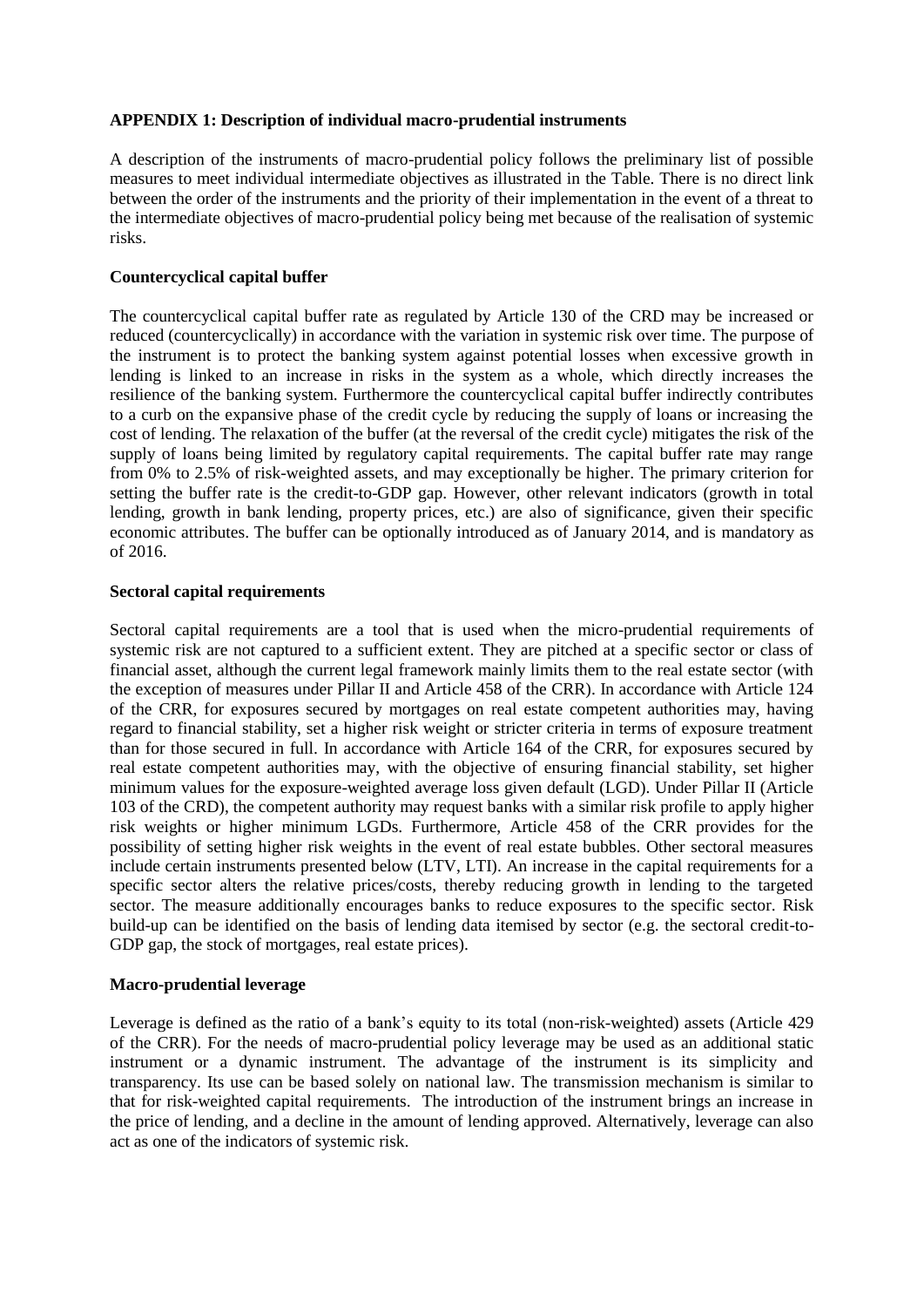# **APPENDIX 1: Description of individual macro-prudential instruments**

A description of the instruments of macro-prudential policy follows the preliminary list of possible measures to meet individual intermediate objectives as illustrated in the Table. There is no direct link between the order of the instruments and the priority of their implementation in the event of a threat to the intermediate objectives of macro-prudential policy being met because of the realisation of systemic risks.

## **Countercyclical capital buffer**

The countercyclical capital buffer rate as regulated by Article 130 of the CRD may be increased or reduced (countercyclically) in accordance with the variation in systemic risk over time. The purpose of the instrument is to protect the banking system against potential losses when excessive growth in lending is linked to an increase in risks in the system as a whole, which directly increases the resilience of the banking system. Furthermore the countercyclical capital buffer indirectly contributes to a curb on the expansive phase of the credit cycle by reducing the supply of loans or increasing the cost of lending. The relaxation of the buffer (at the reversal of the credit cycle) mitigates the risk of the supply of loans being limited by regulatory capital requirements. The capital buffer rate may range from 0% to 2.5% of risk-weighted assets, and may exceptionally be higher. The primary criterion for setting the buffer rate is the credit-to-GDP gap. However, other relevant indicators (growth in total lending, growth in bank lending, property prices, etc.) are also of significance, given their specific economic attributes. The buffer can be optionally introduced as of January 2014, and is mandatory as of 2016.

### **Sectoral capital requirements**

Sectoral capital requirements are a tool that is used when the micro-prudential requirements of systemic risk are not captured to a sufficient extent. They are pitched at a specific sector or class of financial asset, although the current legal framework mainly limits them to the real estate sector (with the exception of measures under Pillar II and Article 458 of the CRR). In accordance with Article 124 of the CRR, for exposures secured by mortgages on real estate competent authorities may, having regard to financial stability, set a higher risk weight or stricter criteria in terms of exposure treatment than for those secured in full. In accordance with Article 164 of the CRR, for exposures secured by real estate competent authorities may, with the objective of ensuring financial stability, set higher minimum values for the exposure-weighted average loss given default (LGD). Under Pillar II (Article 103 of the CRD), the competent authority may request banks with a similar risk profile to apply higher risk weights or higher minimum LGDs. Furthermore, Article 458 of the CRR provides for the possibility of setting higher risk weights in the event of real estate bubbles. Other sectoral measures include certain instruments presented below (LTV, LTI). An increase in the capital requirements for a specific sector alters the relative prices/costs, thereby reducing growth in lending to the targeted sector. The measure additionally encourages banks to reduce exposures to the specific sector. Risk build-up can be identified on the basis of lending data itemised by sector (e.g. the sectoral credit-to-GDP gap, the stock of mortgages, real estate prices).

### **Macro-prudential leverage**

Leverage is defined as the ratio of a bank's equity to its total (non-risk-weighted) assets (Article 429 of the CRR). For the needs of macro-prudential policy leverage may be used as an additional static instrument or a dynamic instrument. The advantage of the instrument is its simplicity and transparency. Its use can be based solely on national law. The transmission mechanism is similar to that for risk-weighted capital requirements. The introduction of the instrument brings an increase in the price of lending, and a decline in the amount of lending approved. Alternatively, leverage can also act as one of the indicators of systemic risk.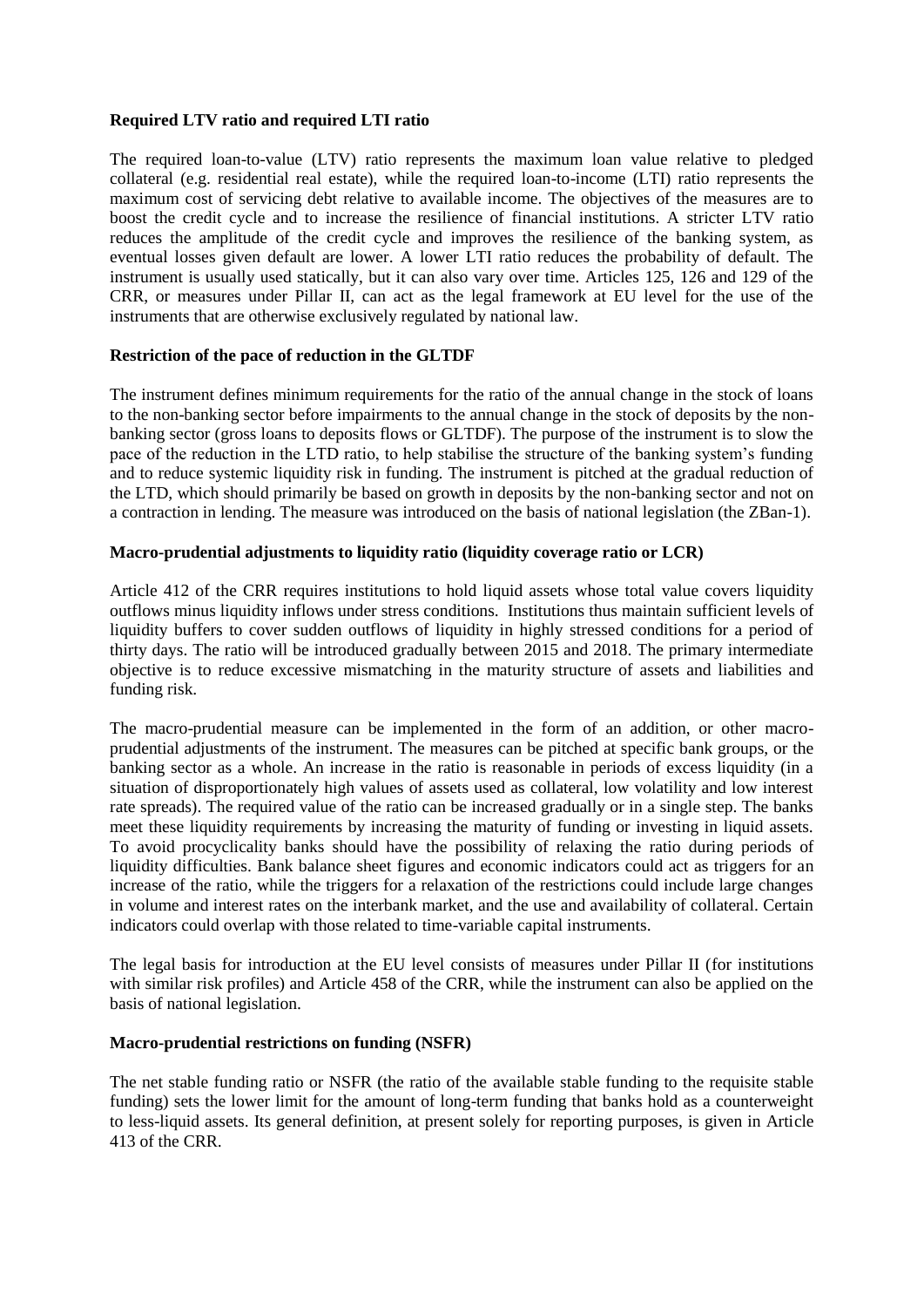## **Required LTV ratio and required LTI ratio**

The required loan-to-value (LTV) ratio represents the maximum loan value relative to pledged collateral (e.g. residential real estate), while the required loan-to-income (LTI) ratio represents the maximum cost of servicing debt relative to available income. The objectives of the measures are to boost the credit cycle and to increase the resilience of financial institutions. A stricter LTV ratio reduces the amplitude of the credit cycle and improves the resilience of the banking system, as eventual losses given default are lower. A lower LTI ratio reduces the probability of default. The instrument is usually used statically, but it can also vary over time. Articles 125, 126 and 129 of the CRR, or measures under Pillar II, can act as the legal framework at EU level for the use of the instruments that are otherwise exclusively regulated by national law.

### **Restriction of the pace of reduction in the GLTDF**

The instrument defines minimum requirements for the ratio of the annual change in the stock of loans to the non-banking sector before impairments to the annual change in the stock of deposits by the nonbanking sector (gross loans to deposits flows or GLTDF). The purpose of the instrument is to slow the pace of the reduction in the LTD ratio, to help stabilise the structure of the banking system's funding and to reduce systemic liquidity risk in funding. The instrument is pitched at the gradual reduction of the LTD, which should primarily be based on growth in deposits by the non-banking sector and not on a contraction in lending. The measure was introduced on the basis of national legislation (the ZBan-1).

#### **Macro-prudential adjustments to liquidity ratio (liquidity coverage ratio or LCR)**

Article 412 of the CRR requires institutions to hold liquid assets whose total value covers liquidity outflows minus liquidity inflows under stress conditions. Institutions thus maintain sufficient levels of liquidity buffers to cover sudden outflows of liquidity in highly stressed conditions for a period of thirty days. The ratio will be introduced gradually between 2015 and 2018. The primary intermediate objective is to reduce excessive mismatching in the maturity structure of assets and liabilities and funding risk.

The macro-prudential measure can be implemented in the form of an addition, or other macroprudential adjustments of the instrument. The measures can be pitched at specific bank groups, or the banking sector as a whole. An increase in the ratio is reasonable in periods of excess liquidity (in a situation of disproportionately high values of assets used as collateral, low volatility and low interest rate spreads). The required value of the ratio can be increased gradually or in a single step. The banks meet these liquidity requirements by increasing the maturity of funding or investing in liquid assets. To avoid procyclicality banks should have the possibility of relaxing the ratio during periods of liquidity difficulties. Bank balance sheet figures and economic indicators could act as triggers for an increase of the ratio, while the triggers for a relaxation of the restrictions could include large changes in volume and interest rates on the interbank market, and the use and availability of collateral. Certain indicators could overlap with those related to time-variable capital instruments.

The legal basis for introduction at the EU level consists of measures under Pillar II (for institutions with similar risk profiles) and Article 458 of the CRR, while the instrument can also be applied on the basis of national legislation.

#### **Macro-prudential restrictions on funding (NSFR)**

The net stable funding ratio or NSFR (the ratio of the available stable funding to the requisite stable funding) sets the lower limit for the amount of long-term funding that banks hold as a counterweight to less-liquid assets. Its general definition, at present solely for reporting purposes, is given in Article 413 of the CRR.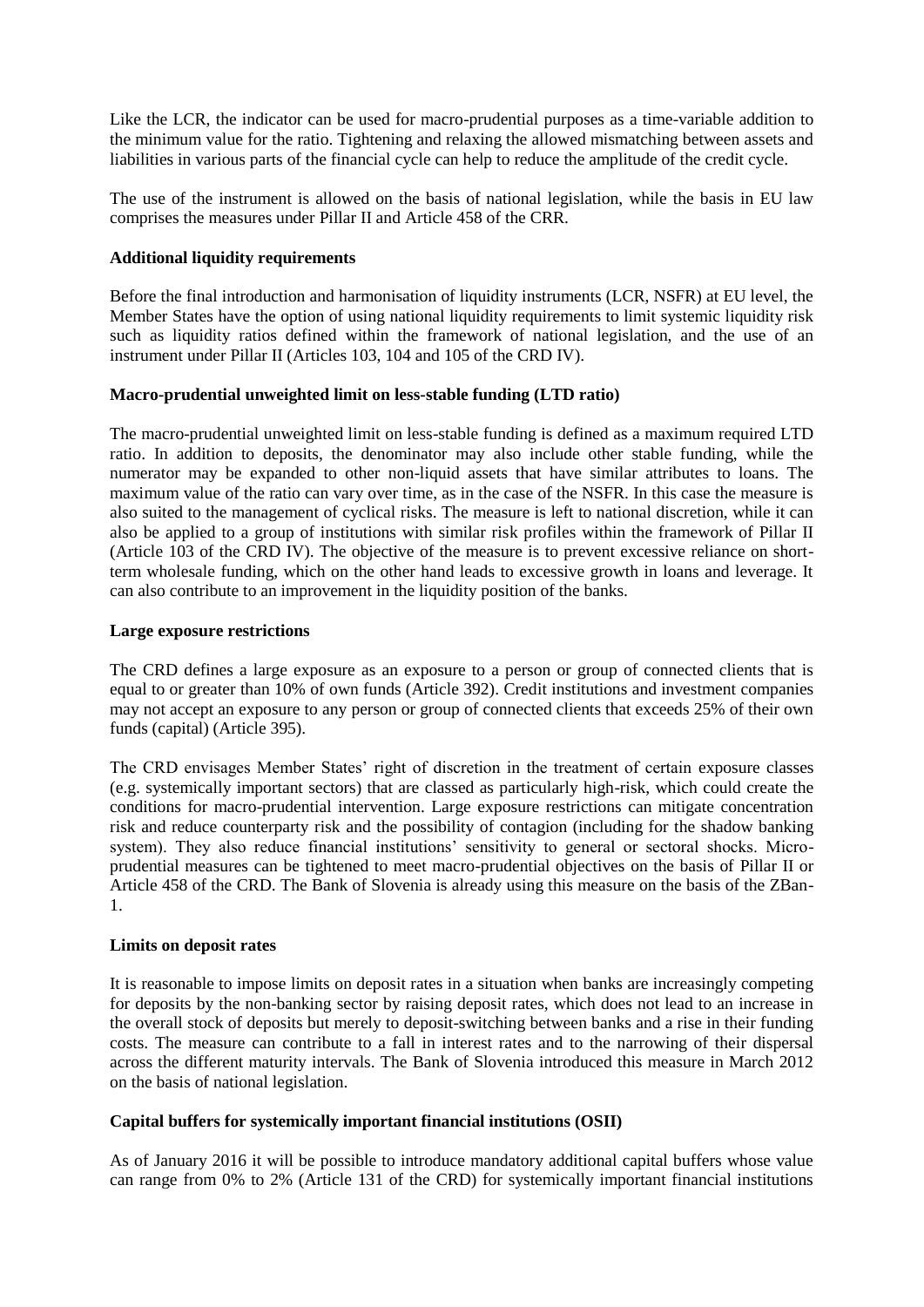Like the LCR, the indicator can be used for macro-prudential purposes as a time-variable addition to the minimum value for the ratio. Tightening and relaxing the allowed mismatching between assets and liabilities in various parts of the financial cycle can help to reduce the amplitude of the credit cycle.

The use of the instrument is allowed on the basis of national legislation, while the basis in EU law comprises the measures under Pillar II and Article 458 of the CRR.

## **Additional liquidity requirements**

Before the final introduction and harmonisation of liquidity instruments (LCR, NSFR) at EU level, the Member States have the option of using national liquidity requirements to limit systemic liquidity risk such as liquidity ratios defined within the framework of national legislation, and the use of an instrument under Pillar II (Articles 103, 104 and 105 of the CRD IV).

### **Macro-prudential unweighted limit on less-stable funding (LTD ratio)**

The macro-prudential unweighted limit on less-stable funding is defined as a maximum required LTD ratio. In addition to deposits, the denominator may also include other stable funding, while the numerator may be expanded to other non-liquid assets that have similar attributes to loans. The maximum value of the ratio can vary over time, as in the case of the NSFR. In this case the measure is also suited to the management of cyclical risks. The measure is left to national discretion, while it can also be applied to a group of institutions with similar risk profiles within the framework of Pillar II (Article 103 of the CRD IV). The objective of the measure is to prevent excessive reliance on shortterm wholesale funding, which on the other hand leads to excessive growth in loans and leverage. It can also contribute to an improvement in the liquidity position of the banks.

# **Large exposure restrictions**

The CRD defines a large exposure as an exposure to a person or group of connected clients that is equal to or greater than 10% of own funds (Article 392). Credit institutions and investment companies may not accept an exposure to any person or group of connected clients that exceeds 25% of their own funds (capital) (Article 395).

The CRD envisages Member States' right of discretion in the treatment of certain exposure classes (e.g. systemically important sectors) that are classed as particularly high-risk, which could create the conditions for macro-prudential intervention. Large exposure restrictions can mitigate concentration risk and reduce counterparty risk and the possibility of contagion (including for the shadow banking system). They also reduce financial institutions' sensitivity to general or sectoral shocks. Microprudential measures can be tightened to meet macro-prudential objectives on the basis of Pillar II or Article 458 of the CRD. The Bank of Slovenia is already using this measure on the basis of the ZBan-1.

# **Limits on deposit rates**

It is reasonable to impose limits on deposit rates in a situation when banks are increasingly competing for deposits by the non-banking sector by raising deposit rates, which does not lead to an increase in the overall stock of deposits but merely to deposit-switching between banks and a rise in their funding costs. The measure can contribute to a fall in interest rates and to the narrowing of their dispersal across the different maturity intervals. The Bank of Slovenia introduced this measure in March 2012 on the basis of national legislation.

# **Capital buffers for systemically important financial institutions (OSII)**

As of January 2016 it will be possible to introduce mandatory additional capital buffers whose value can range from 0% to 2% (Article 131 of the CRD) for systemically important financial institutions